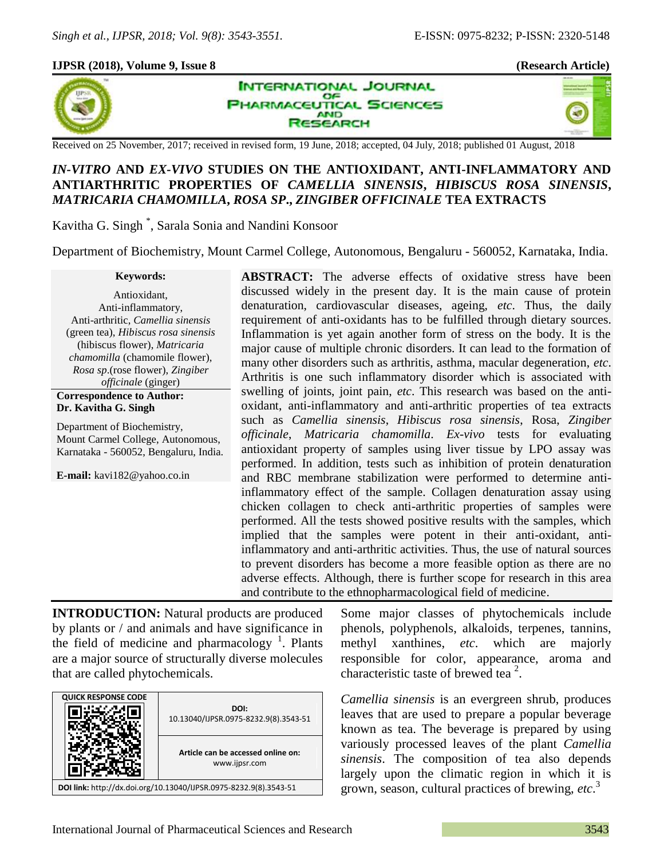×,

## **IJPSR (2018), Volume 9, Issue 8 (Research Article)**



**INTERNATIONAL JOURNAL** OF **PHARMACEUTICAL SCIENCES AND SEARCH** 

Received on 25 November, 2017; received in revised form, 19 June, 2018; accepted, 04 July, 2018; published 01 August, 2018

# *IN-VITRO* **AND** *EX-VIVO* **STUDIES ON THE ANTIOXIDANT, ANTI-INFLAMMATORY AND ANTIARTHRITIC PROPERTIES OF** *CAMELLIA SINENSIS***,** *HIBISCUS ROSA SINENSIS***,**  *MATRICARIA CHAMOMILLA***,** *ROSA SP***.,** *ZINGIBER OFFICINALE* **TEA EXTRACTS**

Kavitha G. Singh \* , Sarala Sonia and Nandini Konsoor

Department of Biochemistry, Mount Carmel College, Autonomous, Bengaluru - 560052, Karnataka, India.

**Keywords:** Antioxidant, Anti-inflammatory, Anti-arthritic, *Camellia sinensis* (green tea), *Hibiscus rosa sinensis* (hibiscus flower), *Matricaria chamomilla* (chamomile flower), *Rosa sp*.(rose flower), *Zingiber officinale* (ginger)

**Correspondence to Author: Dr. Kavitha G. Singh**

Department of Biochemistry, Mount Carmel College, Autonomous, Karnataka - 560052, Bengaluru, India.

**E-mail:** kavi182@yahoo.co.in

**ABSTRACT:** The adverse effects of oxidative stress have been discussed widely in the present day. It is the main cause of protein denaturation, cardiovascular diseases, ageing, *etc*. Thus, the daily requirement of anti-oxidants has to be fulfilled through dietary sources. Inflammation is yet again another form of stress on the body. It is the major cause of multiple chronic disorders. It can lead to the formation of many other disorders such as arthritis, asthma, macular degeneration, *etc*. Arthritis is one such inflammatory disorder which is associated with swelling of joints, joint pain, *etc*. This research was based on the antioxidant, anti-inflammatory and anti-arthritic properties of tea extracts such as *Camellia sinensis*, *Hibiscus rosa sinensis*, Rosa, *Zingiber officinale*, *Matricaria chamomilla*. *Ex-vivo* tests for evaluating antioxidant property of samples using liver tissue by LPO assay was performed. In addition, tests such as inhibition of protein denaturation and RBC membrane stabilization were performed to determine antiinflammatory effect of the sample. Collagen denaturation assay using chicken collagen to check anti-arthritic properties of samples were performed. All the tests showed positive results with the samples, which implied that the samples were potent in their anti-oxidant, antiinflammatory and anti-arthritic activities. Thus, the use of natural sources to prevent disorders has become a more feasible option as there are no adverse effects. Although, there is further scope for research in this area and contribute to the ethnopharmacological field of medicine.

**INTRODUCTION:** Natural products are produced by plants or / and animals and have significance in the field of medicine and pharmacology<sup>1</sup>. Plants are a major source of structurally diverse molecules that are called phytochemicals.



Some major classes of phytochemicals include phenols, polyphenols, alkaloids, terpenes, tannins, methyl xanthines, *etc*. which are majorly responsible for color, appearance, aroma and characteristic taste of brewed tea<sup>2</sup>.

*Camellia sinensis* is an evergreen shrub, produces leaves that are used to prepare a popular beverage known as tea. The beverage is prepared by using variously processed leaves of the plant *Camellia sinensis*. The composition of tea also depends largely upon the climatic region in which it is grown, season, cultural practices of brewing, *etc*. 3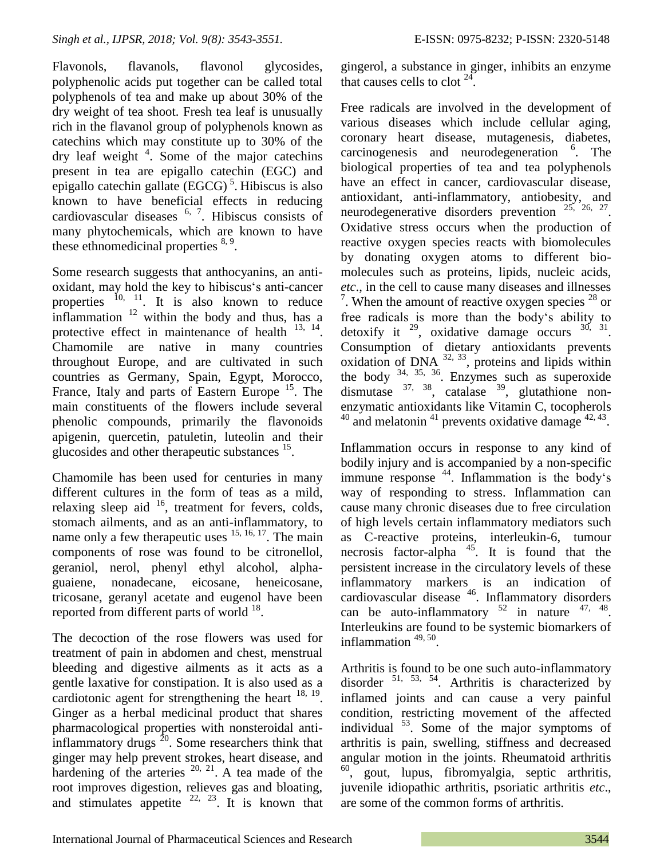Flavonols, flavanols, flavonol glycosides, polyphenolic acids put together can be called total polyphenols of tea and make up about 30% of the dry weight of tea shoot. Fresh tea leaf is unusually rich in the flavanol group of polyphenols known as catechins which may constitute up to 30% of the dry leaf weight <sup>4</sup> . Some of the major catechins present in tea are epigallo catechin (EGC) and epigallo catechin gallate  $(EGCG)^5$ . Hibiscus is also known to have beneficial effects in reducing cardiovascular diseases  $6, 7$ . Hibiscus consists of many phytochemicals, which are known to have these ethnomedicinal properties  $8,9$ .

Some [research](http://www.ncbi.nlm.nih.gov/pubmed/15922006) [su](http://www.ncbi.nlm.nih.gov/pubmed/15922006)ggests that anthocyanins, an antioxidant, may hold the key to hibiscus's anti-cancer properties  $^{10, 11}$ . It is also known to reduce inflammation  $12$  within the body and thus, has a protective effect in maintenance of health  $^{13, 14}$ . Chamomile are native in many countries throughout Europe, and are cultivated in such countries as Germany, Spain, Egypt, Morocco, France, Italy and parts of Eastern Europe  $15$ . The main constituents of the flowers include several phenolic compounds, primarily the flavonoids apigenin, quercetin, patuletin, luteolin and their glucosides and other therapeutic substances <sup>15</sup>.

Chamomile has been used for centuries in many different cultures in the form of teas as a mild, relaxing sleep aid  $16$ , treatment for fevers, colds, stomach ailments, and as an anti-inflammatory, to name only a few therapeutic uses  $15, 16, 17$ . The main components of rose was found to be citronellol, geraniol, nerol, phenyl ethyl alcohol, alphaguaiene, nonadecane, eicosane, heneicosane, tricosane, geranyl acetate and eugenol have been reported from different parts of world  $^{18}$ .

The decoction of the rose flowers was used for treatment of pain in abdomen and chest, menstrual bleeding and digestive ailments as it acts as a gentle laxative for constipation. It is also used as a cardiotonic agent for strengthening the heart  $18, 19$ . Ginger as a herbal medicinal product that shares pharmacological properties with nonsteroidal antiinflammatory drugs  $^{20}$ . Some researchers think that ginger may help prevent strokes, heart disease, and hardening of the arteries  $20$ ,  $21$ . A tea made of the root improves digestion, relieves gas and bloating, and stimulates appetite  $22, 23$ . It is known that gingerol, a substance in ginger, inhibits an enzyme that causes cells to clot  $24$ .

Free radicals are involved in the development of various diseases which include cellular aging, coronary heart disease, mutagenesis, diabetes, carcinogenesis and neurodegeneration <sup>6</sup> . The biological properties of tea and tea polyphenols have an effect in cancer, cardiovascular disease, antioxidant, anti-inflammatory, antiobesity, and neurodegenerative disorders prevention  $25, 26, 27$ . Oxidative stress occurs when the production of reactive oxygen species reacts with biomolecules by donating oxygen atoms to different biomolecules such as proteins, lipids, nucleic acids, *etc*., in the cell to cause many diseases and illnesses <sup>7</sup>. When the amount of reactive oxygen species  $28$  or free radicals is more than the body's ability to detoxify it  $^{29}$ , oxidative damage occurs  $^{30}$ ,  $^{31}$ . Consumption of dietary antioxidants prevents oxidation of DNA  $^{32, 33}$ , proteins and lipids within the body  $34, 35, 36$ . Enzymes such as superoxide dismutase  $37, 38$ , catalase  $39$ , glutathione nonenzymatic antioxidants like Vitamin C, tocopherols  $40$  and melatonin<sup>41</sup> prevents oxidative damage  $42, 43$ .

Inflammation occurs in response to any kind of bodily injury and is accompanied by a non-specific immune response  $44$ . Inflammation is the body's way of responding to stress. Inflammation can cause many chronic diseases due to free circulation of high levels certain inflammatory mediators such as C-reactive proteins, interleukin-6, tumour necrosis factor-alpha  $45$ . It is found that the persistent increase in the circulatory levels of these inflammatory markers is an indication of cardiovascular disease <sup>46</sup>. Inflammatory disorders can be auto-inflammatory  $52$  in nature  $47, 48$ . Interleukins are found to be systemic biomarkers of inflammation <sup>49, 50</sup>.

Arthritis is found to be one such auto-inflammatory disorder  $51, 53, 54$ . Arthritis is characterized by inflamed joints and can cause a very painful condition, restricting movement of the affected individual  $53$ . Some of the major symptoms of arthritis is pain, swelling, stiffness and decreased angular motion in the joints. Rheumatoid arthritis  $60,$  gout, lupus, fibromyalgia, septic arthritis, juvenile idiopathic arthritis, psoriatic arthritis *etc*., are some of the common forms of arthritis.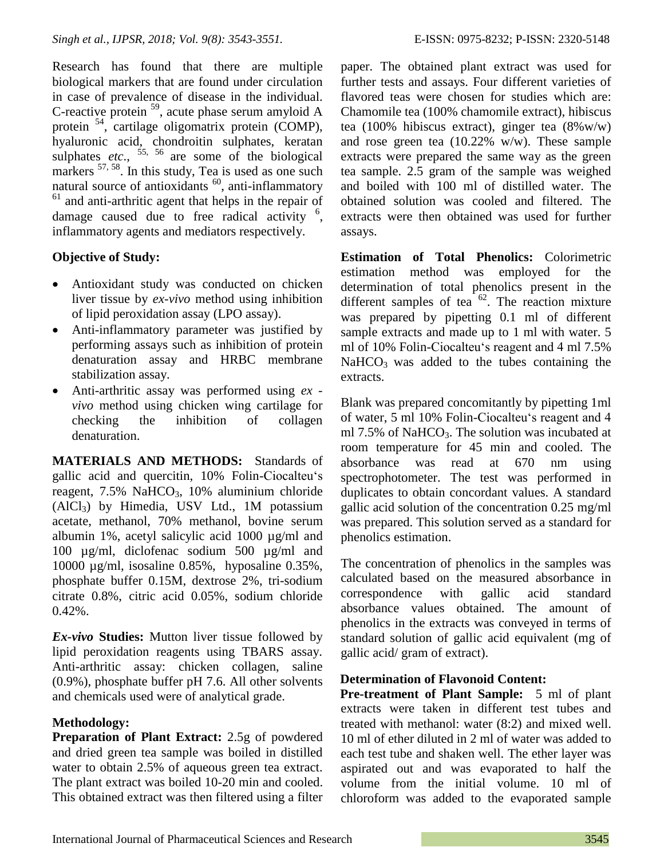Research has found that there are multiple biological markers that are found under circulation in case of prevalence of disease in the individual. C-reactive protein <sup>59</sup>, acute phase serum amyloid A protein <sup>54</sup>, cartilage oligomatrix protein (COMP), hyaluronic acid, chondroitin sulphates, keratan sulphates *etc.*,  $55, 56$  are some of the biological markers <sup>57, 58</sup>. In this study, Tea is used as one such natural source of antioxidants  $60$ , anti-inflammatory  $61$  and anti-arthritic agent that helps in the repair of damage caused due to free radical activity <sup>6</sup>, inflammatory agents and mediators respectively.

# **Objective of Study:**

- Antioxidant study was conducted on chicken liver tissue by *ex-vivo* method using inhibition of lipid peroxidation assay (LPO assay).
- Anti-inflammatory parameter was justified by performing assays such as inhibition of protein denaturation assay and HRBC membrane stabilization assay.
- Anti-arthritic assay was performed using *ex vivo* method using chicken wing cartilage for checking the inhibition of collagen denaturation.

**MATERIALS AND METHODS:** Standards of gallic acid and quercitin, 10% Folin-Ciocalteu's reagent,  $7.5\%$  NaHCO<sub>3</sub>, 10% aluminium chloride  $(AICI<sub>3</sub>)$  by Himedia, USV Ltd., 1M potassium acetate, methanol, 70% methanol, bovine serum albumin 1%, acetyl salicylic acid 1000 µg/ml and 100 µg/ml, diclofenac sodium 500 µg/ml and 10000 µg/ml, isosaline 0.85%, hyposaline 0.35%, phosphate buffer 0.15M, dextrose 2%, tri-sodium citrate 0.8%, citric acid 0.05%, sodium chloride 0.42%.

*Ex-vivo* **Studies:** Mutton liver tissue followed by lipid peroxidation reagents using TBARS assay. Anti-arthritic assay: chicken collagen, saline (0.9%), phosphate buffer pH 7.6. All other solvents and chemicals used were of analytical grade.

## **Methodology:**

**Preparation of Plant Extract:** 2.5g of powdered and dried green tea sample was boiled in distilled water to obtain 2.5% of aqueous green tea extract. The plant extract was boiled 10-20 min and cooled. This obtained extract was then filtered using a filter paper. The obtained plant extract was used for further tests and assays. Four different varieties of flavored teas were chosen for studies which are: Chamomile tea (100% chamomile extract), hibiscus tea (100% hibiscus extract), ginger tea (8%w/w) and rose green tea (10.22% w/w). These sample extracts were prepared the same way as the green tea sample. 2.5 gram of the sample was weighed and boiled with 100 ml of distilled water. The obtained solution was cooled and filtered. The extracts were then obtained was used for further assays.

**Estimation of Total Phenolics:** Colorimetric estimation method was employed for the determination of total phenolics present in the different samples of tea  $\frac{1}{62}$ . The reaction mixture was prepared by pipetting 0.1 ml of different sample extracts and made up to 1 ml with water. 5 ml of 10% Folin-Ciocalteu's reagent and 4 ml 7.5%  $NaHCO<sub>3</sub>$  was added to the tubes containing the extracts.

Blank was prepared concomitantly by pipetting 1ml of water, 5 ml 10% Folin-Ciocalteu's reagent and 4 ml  $7.5\%$  of NaHCO<sub>3</sub>. The solution was incubated at room temperature for 45 min and cooled. The absorbance was read at 670 nm using spectrophotometer. The test was performed in duplicates to obtain concordant values. A standard gallic acid solution of the concentration 0.25 mg/ml was prepared. This solution served as a standard for phenolics estimation.

The concentration of phenolics in the samples was calculated based on the measured absorbance in correspondence with gallic acid standard absorbance values obtained. The amount of phenolics in the extracts was conveyed in terms of standard solution of gallic acid equivalent (mg of gallic acid/ gram of extract).

## **Determination of Flavonoid Content:**

**Pre-treatment of Plant Sample:** 5 ml of plant extracts were taken in different test tubes and treated with methanol: water (8:2) and mixed well. 10 ml of ether diluted in 2 ml of water was added to each test tube and shaken well. The ether layer was aspirated out and was evaporated to half the volume from the initial volume. 10 ml of chloroform was added to the evaporated sample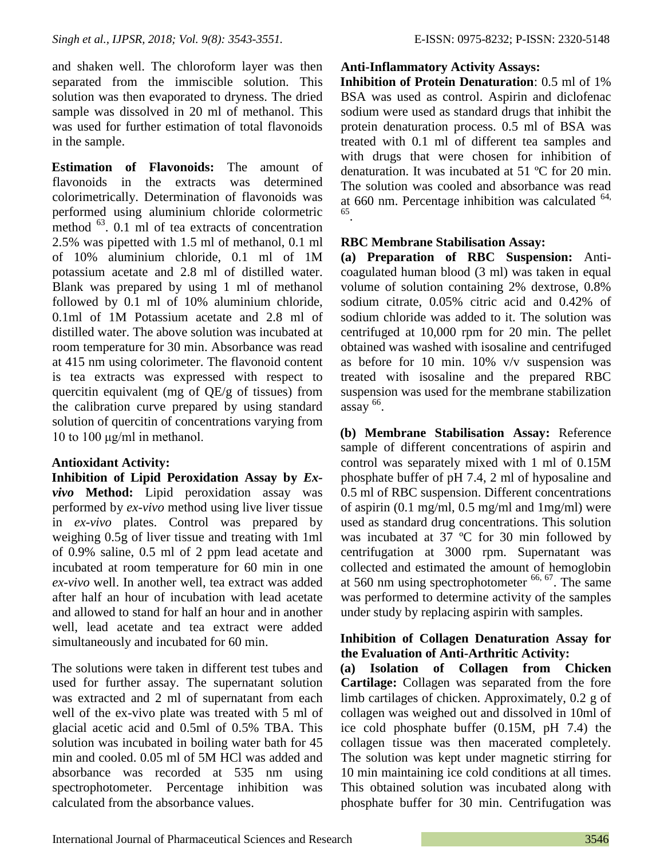and shaken well. The chloroform layer was then separated from the immiscible solution. This solution was then evaporated to dryness. The dried sample was dissolved in 20 ml of methanol. This was used for further estimation of total flavonoids in the sample.

**Estimation of Flavonoids:** The amount of flavonoids in the extracts was determined colorimetrically. Determination of flavonoids was performed using aluminium chloride colormetric method  $^{63}$ . 0.1 ml of tea extracts of concentration 2.5% was pipetted with 1.5 ml of methanol, 0.1 ml of 10% aluminium chloride, 0.1 ml of 1M potassium acetate and 2.8 ml of distilled water. Blank was prepared by using 1 ml of methanol followed by 0.1 ml of 10% aluminium chloride, 0.1ml of 1M Potassium acetate and 2.8 ml of distilled water. The above solution was incubated at room temperature for 30 min. Absorbance was read at 415 nm using colorimeter. The flavonoid content is tea extracts was expressed with respect to quercitin equivalent (mg of QE/g of tissues) from the calibration curve prepared by using standard solution of quercitin of concentrations varying from 10 to 100 μg/ml in methanol.

## **Antioxidant Activity:**

**Inhibition of Lipid Peroxidation Assay by** *Exvivo* **Method:** Lipid peroxidation assay was performed by *ex-vivo* method using live liver tissue in *ex-vivo* plates. Control was prepared by weighing 0.5g of liver tissue and treating with 1ml of 0.9% saline, 0.5 ml of 2 ppm lead acetate and incubated at room temperature for 60 min in one *ex-vivo* well. In another well, tea extract was added after half an hour of incubation with lead acetate and allowed to stand for half an hour and in another well, lead acetate and tea extract were added simultaneously and incubated for 60 min.

The solutions were taken in different test tubes and used for further assay. The supernatant solution was extracted and 2 ml of supernatant from each well of the ex-vivo plate was treated with 5 ml of glacial acetic acid and 0.5ml of 0.5% TBA. This solution was incubated in boiling water bath for 45 min and cooled. 0.05 ml of 5M HCl was added and absorbance was recorded at 535 nm using spectrophotometer. Percentage inhibition was calculated from the absorbance values.

# **Anti-Inflammatory Activity Assays:**

**Inhibition of Protein Denaturation**: 0.5 ml of 1% BSA was used as control. Aspirin and diclofenac sodium were used as standard drugs that inhibit the protein denaturation process. 0.5 ml of BSA was treated with 0.1 ml of different tea samples and with drugs that were chosen for inhibition of denaturation. It was incubated at 51 ºC for 20 min. The solution was cooled and absorbance was read at 660 nm. Percentage inhibition was calculated  $64$ , 65 .

## **RBC Membrane Stabilisation Assay:**

**(a) Preparation of RBC Suspension:** Anticoagulated human blood (3 ml) was taken in equal volume of solution containing 2% dextrose, 0.8% sodium citrate, 0.05% citric acid and 0.42% of sodium chloride was added to it. The solution was centrifuged at 10,000 rpm for 20 min. The pellet obtained was washed with isosaline and centrifuged as before for 10 min. 10% v/v suspension was treated with isosaline and the prepared RBC suspension was used for the membrane stabilization assay 66 .

**(b) Membrane Stabilisation Assay:** Reference sample of different concentrations of aspirin and control was separately mixed with 1 ml of 0.15M phosphate buffer of pH 7.4, 2 ml of hyposaline and 0.5 ml of RBC suspension. Different concentrations of aspirin  $(0.1 \text{ mg/ml}, 0.5 \text{ mg/ml}$  and  $1 \text{mg/ml}$ ) were used as standard drug concentrations. This solution was incubated at 37 ºC for 30 min followed by centrifugation at 3000 rpm. Supernatant was collected and estimated the amount of hemoglobin at 560 nm using spectrophotometer  $^{66, 67}$ . The same was performed to determine activity of the samples under study by replacing aspirin with samples.

## **Inhibition of Collagen Denaturation Assay for the Evaluation of Anti-Arthritic Activity:**

**(a) Isolation of Collagen from Chicken Cartilage:** Collagen was separated from the fore limb cartilages of chicken. Approximately, 0.2 g of collagen was weighed out and dissolved in 10ml of ice cold phosphate buffer (0.15M, pH 7.4) the collagen tissue was then macerated completely. The solution was kept under magnetic stirring for 10 min maintaining ice cold conditions at all times. This obtained solution was incubated along with phosphate buffer for 30 min. Centrifugation was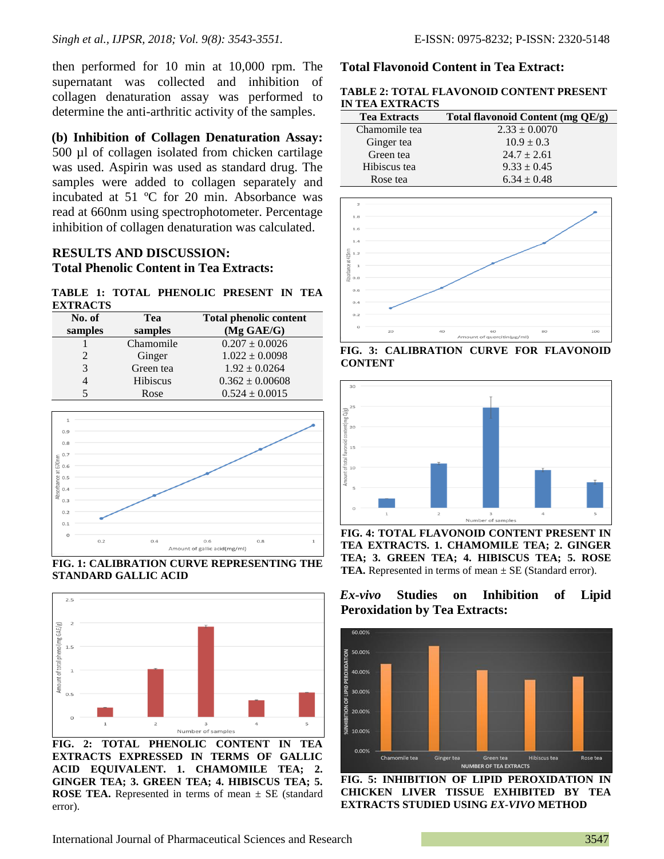then performed for 10 min at 10,000 rpm. The supernatant was collected and inhibition of collagen denaturation assay was performed to determine the anti-arthritic activity of the samples.

**(b) Inhibition of Collagen Denaturation Assay:** 

500 µl of collagen isolated from chicken cartilage was used. Aspirin was used as standard drug. The samples were added to collagen separately and incubated at 51 ºC for 20 min. Absorbance was read at 660nm using spectrophotometer. Percentage inhibition of collagen denaturation was calculated.

# **RESULTS AND DISCUSSION: Total Phenolic Content in Tea Extracts:**

**TABLE 1: TOTAL PHENOLIC PRESENT IN TEA EXTRACTS** 

| No. of                      | Tea       | <b>Total phenolic content</b> |
|-----------------------------|-----------|-------------------------------|
| samples                     | samples   | (Mg GAE/G)                    |
|                             | Chamomile | $0.207 \pm 0.0026$            |
| $\mathcal{D}_{\mathcal{L}}$ | Ginger    | $1.022 \pm 0.0098$            |
| $\mathcal{R}$               | Green tea | $1.92 \pm 0.0264$             |
|                             | Hibiscus  | $0.362 \pm 0.00608$           |
|                             | Rose      | $0.524 \pm 0.0015$            |



**FIG. 1: CALIBRATION CURVE REPRESENTING THE STANDARD GALLIC ACID**



**FIG. 2: TOTAL PHENOLIC CONTENT IN TEA EXTRACTS EXPRESSED IN TERMS OF GALLIC ACID EQUIVALENT. 1. CHAMOMILE TEA; 2. GINGER TEA; 3. GREEN TEA; 4. HIBISCUS TEA; 5. ROSE TEA.** Represented in terms of mean  $\pm$  SE (standard error).

## **Total Flavonoid Content in Tea Extract:**

### **TABLE 2: TOTAL FLAVONOID CONTENT PRESENT IN TEA EXTRACTS**

| <b>Tea Extracts</b> | Total flavonoid Content (mg QE/g) |
|---------------------|-----------------------------------|
| Chamomile tea       | $2.33 \pm 0.0070$                 |
| Ginger tea          | $10.9 \pm 0.3$                    |
| Green tea           | $24.7 \pm 2.61$                   |
| Hibiscus tea        | $9.33 \pm 0.45$                   |
| Rose tea            | $6.34 \pm 0.48$                   |



**FIG. 3: CALIBRATION CURVE FOR FLAVONOID CONTENT**



**FIG. 4: TOTAL FLAVONOID CONTENT PRESENT IN TEA EXTRACTS. 1. CHAMOMILE TEA; 2. GINGER TEA; 3. GREEN TEA; 4. HIBISCUS TEA; 5. ROSE TEA.** Represented in terms of mean  $\pm$  SE (Standard error).





**FIG. 5: INHIBITION OF LIPID PEROXIDATION IN CHICKEN LIVER TISSUE EXHIBITED BY TEA EXTRACTS STUDIED USING** *EX-VIVO* **METHOD**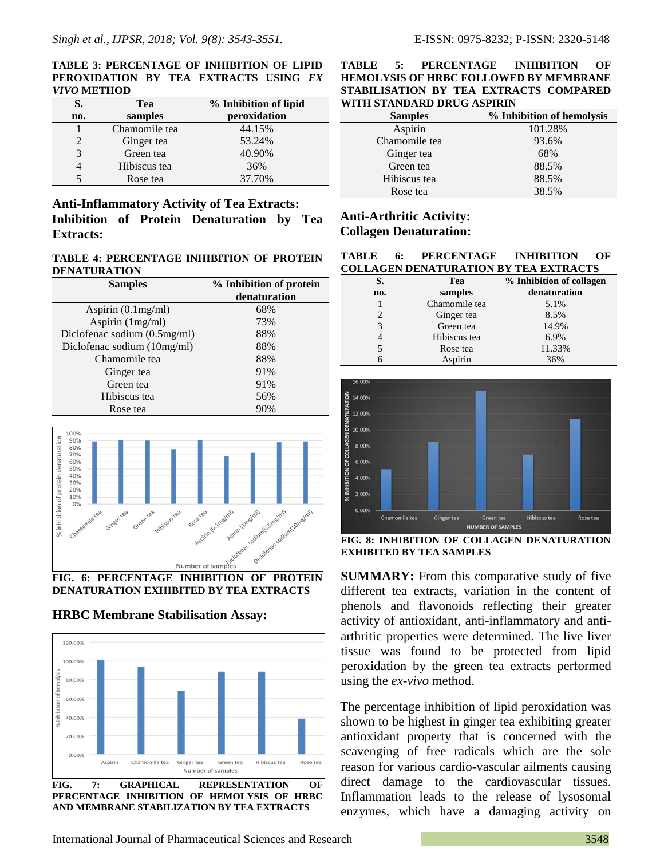#### **TABLE 3: PERCENTAGE OF INHIBITION OF LIPID PEROXIDATION BY TEA EXTRACTS USING** *EX VIVO* **METHOD**

| S.  | Tea           | % Inhibition of lipid |
|-----|---------------|-----------------------|
| no. | samples       | peroxidation          |
|     | Chamomile tea | 44.15%                |
| 2   | Ginger tea    | 53.24%                |
| 3   | Green tea     | 40.90%                |
|     | Hibiscus tea  | 36%                   |
|     | Rose tea      | 37.70%                |

## **Anti-Inflammatory Activity of Tea Extracts: Inhibition of Protein Denaturation by Tea Extracts:**

**TABLE 4: PERCENTAGE INHIBITION OF PROTEIN DENATURATION** 

| <b>Samples</b>               | % Inhibition of protein |
|------------------------------|-------------------------|
|                              | denaturation            |
| Aspirin (0.1mg/ml)           | 68%                     |
| Aspirin $(1mg/ml)$           | 73%                     |
| Diclofenac sodium (0.5mg/ml) | 88%                     |
| Diclofenac sodium (10mg/ml)  | 88%                     |
| Chamomile tea                | 88%                     |
| Ginger tea                   | 91%                     |
| Green tea                    | 91%                     |
| Hibiscus tea                 | 56%                     |
| Rose tea                     | 90%                     |



**DENATURATION EXHIBITED BY TEA EXTRACTS**

## **HRBC Membrane Stabilisation Assay:**



**AND MEMBRANE STABILIZATION BY TEA EXTRACTS**

#### **TABLE 5: PERCENTAGE INHIBITION OF HEMOLYSIS OF HRBC FOLLOWED BY MEMBRANE STABILISATION BY TEA EXTRACTS COMPARED WITH STANDARD DRUG ASPIRIN**

| <b>Samples</b> | % Inhibition of hemolysis |
|----------------|---------------------------|
| Aspirin        | 101.28%                   |
| Chamomile tea  | 93.6%                     |
| Ginger tea     | 68%                       |
| Green tea      | 88.5%                     |
| Hibiscus tea   | 88.5%                     |
| Rose tea       | 38.5%                     |

## **Anti-Arthritic Activity: Collagen Denaturation:**

| TABLE | 6: | <b>PERCENTAGE</b>                     | <b>INHIBITION</b> | OF |
|-------|----|---------------------------------------|-------------------|----|
|       |    | COLLAGEN DENATURATION BY TEA EXTRACTS |                   |    |

| S.  | Tea           | % Inhibition of collagen |
|-----|---------------|--------------------------|
| no. | samples       | denaturation             |
|     | Chamomile tea | 5.1%                     |
|     | Ginger tea    | 8.5%                     |
| 3   | Green tea     | 14.9%                    |
|     | Hibiscus tea  | 6.9%                     |
|     | Rose tea      | 11.33%                   |
|     | Aspirin       | 36%                      |



**FIG. 8: INHIBITION OF COLLAGEN DENATURATION EXHIBITED BY TEA SAMPLES**

**SUMMARY:** From this comparative study of five different tea extracts, variation in the content of phenols and flavonoids reflecting their greater activity of antioxidant, anti-inflammatory and antiarthritic properties were determined. The live liver tissue was found to be protected from lipid peroxidation by the green tea extracts performed using the *ex-vivo* method.

The percentage inhibition of lipid peroxidation was shown to be highest in ginger tea exhibiting greater antioxidant property that is concerned with the scavenging of free radicals which are the sole reason for various cardio-vascular ailments causing direct damage to the cardiovascular tissues. Inflammation leads to the release of lysosomal enzymes, which have a damaging activity on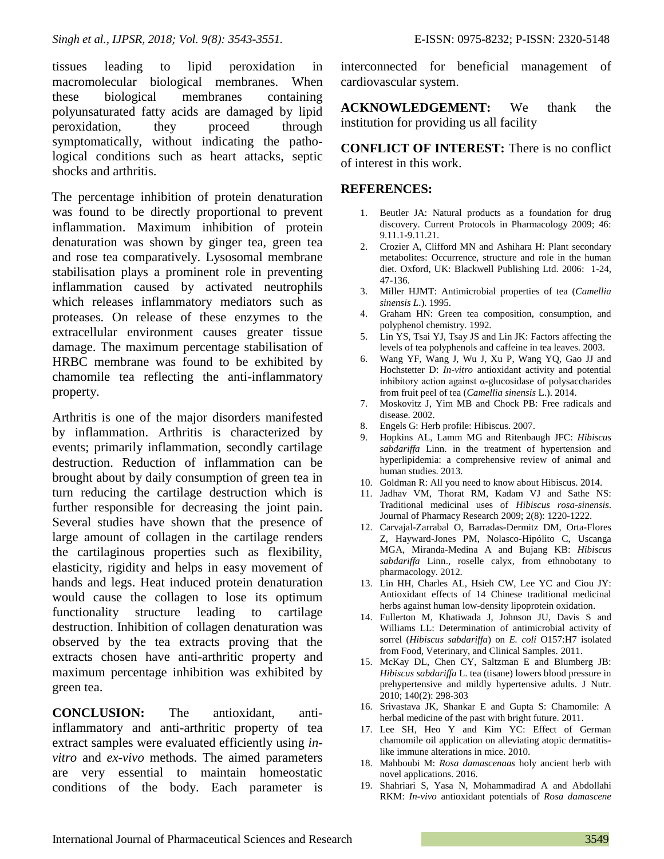tissues leading to lipid peroxidation in macromolecular biological membranes. When these biological membranes containing polyunsaturated fatty acids are damaged by lipid peroxidation, they proceed through symptomatically, without indicating the pathological conditions such as heart attacks, septic shocks and arthritis.

The percentage inhibition of protein denaturation was found to be directly proportional to prevent inflammation. Maximum inhibition of protein denaturation was shown by ginger tea, green tea and rose tea comparatively. Lysosomal membrane stabilisation plays a prominent role in preventing inflammation caused by activated neutrophils which releases inflammatory mediators such as proteases. On release of these enzymes to the extracellular environment causes greater tissue damage. The maximum percentage stabilisation of HRBC membrane was found to be exhibited by chamomile tea reflecting the anti-inflammatory property.

Arthritis is one of the major disorders manifested by inflammation. Arthritis is characterized by events; primarily inflammation, secondly cartilage destruction. Reduction of inflammation can be brought about by daily consumption of green tea in turn reducing the cartilage destruction which is further responsible for decreasing the joint pain. Several studies have shown that the presence of large amount of collagen in the cartilage renders the cartilaginous properties such as flexibility, elasticity, rigidity and helps in easy movement of hands and legs. Heat induced protein denaturation would cause the collagen to lose its optimum functionality structure leading to cartilage destruction. Inhibition of collagen denaturation was observed by the tea extracts proving that the extracts chosen have anti-arthritic property and maximum percentage inhibition was exhibited by green tea.

**CONCLUSION:** The antioxidant, antiinflammatory and anti-arthritic property of tea extract samples were evaluated efficiently using *invitro* and *ex-vivo* methods. The aimed parameters are very essential to maintain homeostatic conditions of the body. Each parameter is interconnected for beneficial management of cardiovascular system.

**ACKNOWLEDGEMENT:** We thank the institution for providing us all facility

**CONFLICT OF INTEREST:** There is no conflict of interest in this work.

## **REFERENCES:**

- 1. Beutler JA: Natural products as a foundation for drug discovery. Current Protocols in Pharmacology 2009; 46: 9.11.1-9.11.21.
- 2. Crozier A, Clifford MN and Ashihara H: Plant secondary metabolites: Occurrence, structure and role in the human diet. Oxford, UK: Blackwell Publishing Ltd. 2006: 1-24, 47-136.
- 3. Miller HJMT: Antimicrobial properties of tea (*Camellia sinensis L*.). 1995.
- 4. Graham HN: Green tea composition, consumption, and polyphenol chemistry. 1992.
- 5. Lin YS, Tsai YJ, Tsay JS and Lin JK: Factors affecting the levels of tea polyphenols and caffeine in tea leaves. 2003.
- 6. Wang YF, Wang J, Wu J, Xu P, Wang YQ, Gao JJ and Hochstetter D: *In-vitro* antioxidant activity and potential inhibitory action against  $\alpha$ -glucosidase of polysaccharides from fruit peel of tea (*Camellia sinensis* L.). 2014.
- 7. Moskovitz J, Yim MB and Chock PB: Free radicals and disease. 2002.
- 8. Engels G: Herb profile: Hibiscus. 2007.
- 9. Hopkins AL, Lamm MG and Ritenbaugh JFC: *Hibiscus sabdariffa* Linn. in the treatment of hypertension and hyperlipidemia: a comprehensive review of animal and human studies. 2013.
- 10. Goldman R: All you need to know about Hibiscus. 2014.
- 11. Jadhav VM, Thorat RM, Kadam VJ and Sathe NS: Traditional medicinal uses of *Hibiscus rosa-sinensis*. Journal of Pharmacy Research 2009; 2(8): 1220-1222.
- 12. Carvajal-Zarrabal O, Barradas-Dermitz DM, Orta-Flores Z, Hayward-Jones PM, Nolasco-Hipólito C, Uscanga MGA, Miranda-Medina A and Bujang KB: *Hibiscus sabdariffa* Linn., roselle calyx, from ethnobotany to pharmacology. 2012.
- 13. Lin HH, Charles AL, Hsieh CW, Lee YC and Ciou JY: Antioxidant effects of 14 Chinese traditional medicinal herbs against human low-density lipoprotein oxidation.
- 14. Fullerton M, Khatiwada J, Johnson JU, Davis S and Williams LL: Determination of antimicrobial activity of sorrel (*Hibiscus sabdariffa*) on *E. coli* O157:H7 isolated from Food, Veterinary, and Clinical Samples. 2011.
- 15. McKay DL, Chen CY, Saltzman E and Blumberg JB: *Hibiscus sabdariffa* L. tea (tisane) lowers blood pressure in prehypertensive and mildly hypertensive adults. J Nutr. 2010; 140(2): 298-303
- 16. Srivastava JK, Shankar E and Gupta S: Chamomile: A herbal medicine of the past with bright future. 2011.
- 17. Lee SH, Heo Y and Kim YC: Effect of German chamomile oil application on alleviating atopic dermatitislike immune alterations in mice. 2010.
- 18. Mahboubi M: *Rosa damascenaas* holy ancient herb with novel applications. 2016.
- 19. Shahriari S, Yasa N, Mohammadirad A and Abdollahi RKM: *In-vivo* antioxidant potentials of *Rosa damascene*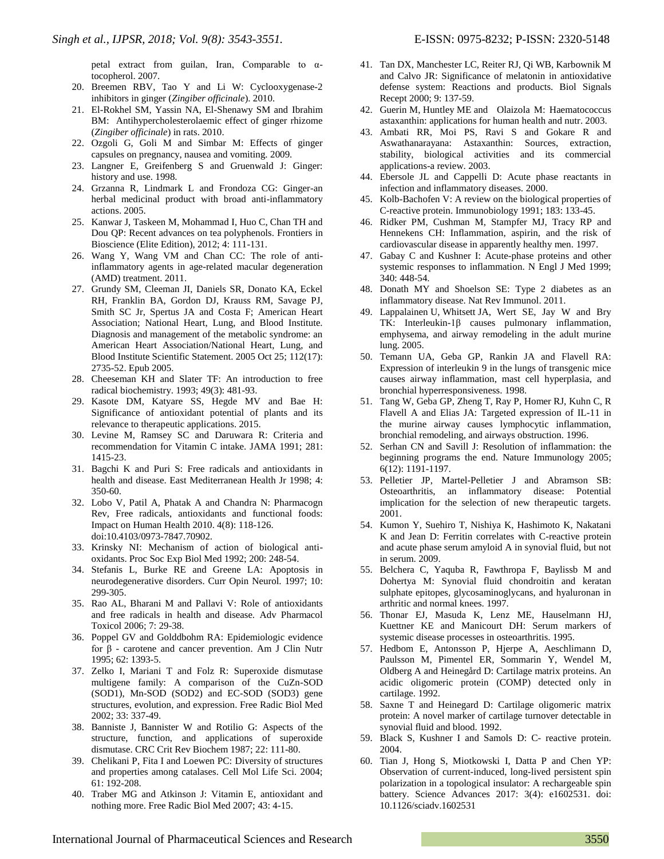petal extract from guilan, Iran, Comparable to αtocopherol. 2007.

- 20. Breemen RBV, Tao Y and Li W: Cyclooxygenase-2 inhibitors in ginger (*Zingiber officinale*). 2010.
- 21. El-Rokhel SM, Yassin NA, El-Shenawy SM and Ibrahim BM: Antihypercholesterolaemic effect of ginger rhizome (*Zingiber officinale*) in rats. 2010.
- 22. Ozgoli G, Goli M and Simbar M: Effects of ginger capsules on pregnancy, nausea and vomiting. 2009.
- 23. Langner E, Greifenberg S and Gruenwald J: Ginger: history and use. 1998.
- 24. Grzanna R, Lindmark L and Frondoza CG: Ginger-an herbal medicinal product with broad anti-inflammatory actions. 2005.
- 25. Kanwar J, Taskeen M, Mohammad I, Huo C, Chan TH and Dou QP: Recent advances on tea polyphenols. Frontiers in Bioscience (Elite Edition), 2012; 4: 111-131.
- 26. Wang Y, Wang VM and Chan CC: The role of antiinflammatory agents in age-related macular degeneration (AMD) treatment. 2011.
- 27. Grundy SM, Cleeman JI, Daniels SR, Donato KA, Eckel RH, Franklin BA, Gordon DJ, Krauss RM, Savage PJ, Smith SC Jr, Spertus JA and Costa F; American Heart Association; National Heart, Lung, and Blood Institute. Diagnosis and management of the metabolic syndrome: an American Heart Association/National Heart, Lung, and Blood Institute Scientific Statement. 2005 Oct 25; 112(17): 2735-52. Epub 2005.
- 28. Cheeseman KH and Slater TF: An introduction to free radical biochemistry. 1993; 49(3): 481-93.
- 29. Kasote DM, Katyare SS, Hegde MV and Bae H: Significance of antioxidant potential of plants and its relevance to therapeutic applications. 2015.
- 30. Levine M, Ramsey SC and Daruwara R: Criteria and recommendation for Vitamin C intake. JAMA 1991; 281: 1415-23.
- 31. Bagchi K and Puri S: Free radicals and antioxidants in health and disease. East Mediterranean Health Jr 1998; 4: 350-60.
- 32. Lobo V, Patil A, Phatak A and Chandra N: Pharmacogn Rev, Free radicals, antioxidants and functional foods: Impact on Human Health 2010. 4(8): 118-126. doi:10.4103/0973-7847.70902.
- 33. Krinsky NI: Mechanism of action of biological antioxidants. Proc Soc Exp Biol Med 1992; 200: 248-54.
- 34. Stefanis L, Burke RE and Greene LA: Apoptosis in neurodegenerative disorders. Curr Opin Neurol. 1997; 10: 299-305.
- 35. Rao AL, Bharani M and Pallavi V: Role of antioxidants and free radicals in health and disease. Adv Pharmacol Toxicol 2006; 7: 29-38.
- 36. Poppel GV and Golddbohm RA: Epidemiologic evidence for β - carotene and cancer prevention. Am J Clin Nutr 1995; 62: 1393-5.
- 37. Zelko I, Mariani T and Folz R: Superoxide dismutase multigene family: A comparison of the CuZn-SOD (SOD1), Mn-SOD (SOD2) and EC-SOD (SOD3) gene structures, evolution, and expression. Free Radic Biol Med 2002; 33: 337-49.
- 38. Banniste J, Bannister W and Rotilio G: Aspects of the structure, function, and applications of superoxide dismutase. CRC Crit Rev Biochem 1987; 22: 111-80.
- 39. Chelikani P, Fita I and Loewen PC: Diversity of structures and properties among catalases. Cell Mol Life Sci. 2004; 61: 192-208.
- 40. Traber MG and Atkinson J: Vitamin E, antioxidant and nothing more. Free Radic Biol Med 2007; 43: 4-15.
- 41. Tan DX, Manchester LC, Reiter RJ, Qi WB, Karbownik M and Calvo JR: Significance of melatonin in antioxidative defense system: Reactions and products. Biol Signals Recept 2000; 9: 137-59.
- 42. Guerin M, Huntley ME and Olaizola M: Haematococcus astaxanthin: applications for human health and nutr. 2003.
- 43. Ambati RR, Moi PS, Ravi S and Gokare R and Aswathanarayana: Astaxanthin: Sources, extraction, stability, biological activities and its commercial applications-a review. 2003.
- 44. Ebersole JL and Cappelli D: Acute phase reactants in infection and inflammatory diseases. 2000.
- 45. Kolb-Bachofen V: A review on the biological properties of C-reactive protein. Immunobiology 1991; 183: 133-45.
- 46. Ridker PM, Cushman M, Stampfer MJ, Tracy RP and Hennekens CH: Inflammation, aspirin, and the risk of cardiovascular disease in apparently healthy men. 1997.
- 47. Gabay C and Kushner I: Acute-phase proteins and other systemic responses to inflammation. N Engl J Med 1999; 340: 448-54.
- 48. Donath MY and Shoelson SE: Type 2 diabetes as an inflammatory disease. Nat Rev Immunol. 2011.
- 49. Lappalainen U, Whitsett JA, Wert SE, Jay W and Bry TK: Interleukin-1β causes pulmonary inflammation, emphysema, and airway remodeling in the adult murine lung. 2005.
- 50. Temann UA, Geba GP, Rankin JA and Flavell RA: Expression of interleukin 9 in the lungs of transgenic mice causes airway inflammation, mast cell hyperplasia, and bronchial hyperresponsiveness. 1998.
- 51. Tang W, Geba GP, Zheng T, Ray P, Homer RJ, Kuhn C, R Flavell A and Elias JA: Targeted expression of IL-11 in the murine airway causes lymphocytic inflammation, bronchial remodeling, and airways obstruction. 1996.
- 52. Serhan CN and Savill J: Resolution of inflammation: the beginning programs the end. Nature Immunology 2005; 6(12): 1191-1197.
- 53. Pelletier JP, Martel-Pelletier J and Abramson SB: Osteoarthritis, an inflammatory disease: Potential implication for the selection of new therapeutic targets. 2001.
- 54. Kumon Y, Suehiro T, Nishiya K, Hashimoto K, Nakatani K and Jean D: Ferritin correlates with C-reactive protein and acute phase serum amyloid A in synovial fluid, but not in serum. 2009.
- 55. Belchera C, Yaquba R, Fawthropa F, Baylissb M and Dohertya M: Synovial fluid chondroitin and keratan sulphate epitopes, glycosaminoglycans, and hyaluronan in arthritic and normal knees. 1997.
- 56. Thonar EJ, Masuda K, Lenz ME, Hauselmann HJ, Kuettner KE and Manicourt DH: Serum markers of systemic disease processes in osteoarthritis. 1995.
- 57. Hedbom E, Antonsson P, Hjerpe A, Aeschlimann D, Paulsson M, Pimentel ER, Sommarin Y, Wendel M, Oldberg A and Heinegård D: Cartilage matrix proteins. An acidic oligomeric protein (COMP) detected only in cartilage. 1992.
- 58. Saxne T and Heinegard D: Cartilage oligomeric matrix protein: A novel marker of cartilage turnover detectable in synovial fluid and blood. 1992.
- 59. Black S, Kushner I and Samols D: C- reactive protein. 2004.
- 60. Tian J, Hong S, Miotkowski I, Datta P and Chen YP: Observation of current-induced, long-lived persistent spin polarization in a topological insulator: A rechargeable spin battery. Science Advances 2017: 3(4): e1602531. doi: 10.1126/sciadv.1602531